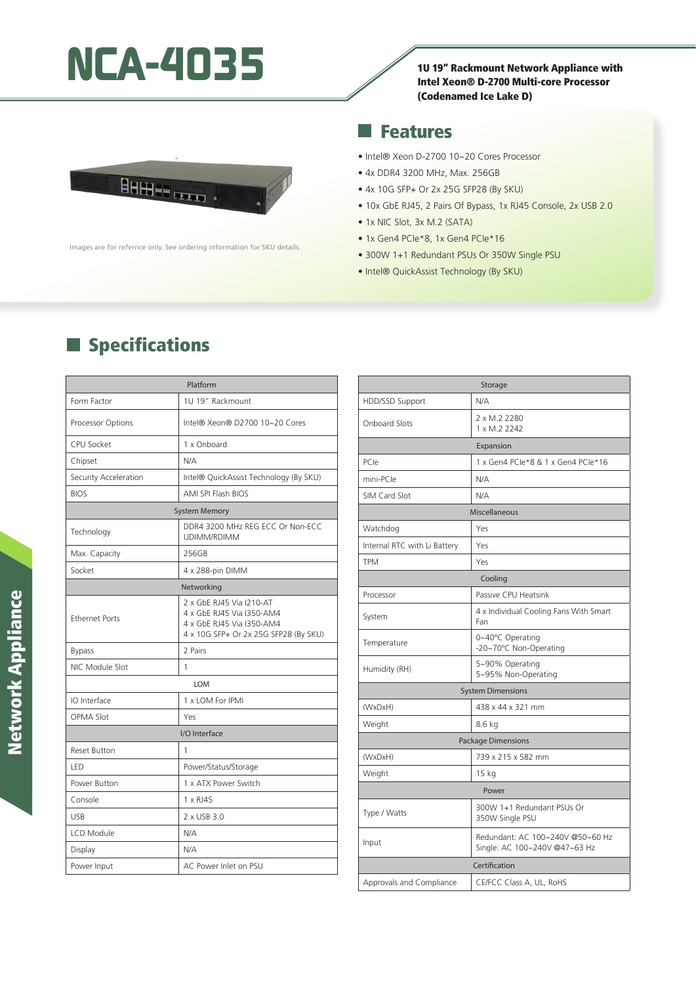# **NCA-4035** 10.19" Rackmount Network Appliance with

Intel Xeon® D-2700 Multi-core Processor (Codenamed Ice Lake D)



lmages are for refernce only. See ordering information for SKU details.

#### Features ×.

- Intel® Xeon D-2700 10~20 Cores Processor
- 4x DDR4 3200 MHz, Max. 256GB
- 4x 10G SFP+ Or 2x 25G SFP28 (By SKU)
- 10x GbE RJ45, 2 Pairs Of Bypass, 1x RJ45 Console, 2x USB 2.0
- 1x NIC Slot, 3x M.2 (SATA)
- 1x Gen4 PCIe\*8, 1x Gen4 PCIe\*16
- 300W 1+1 Redundant PSUs Or 350W Single PSU
- Intel® QuickAssist Technology (By SKU)

# **Specifications**

| Platform              |                                                                                                                             |
|-----------------------|-----------------------------------------------------------------------------------------------------------------------------|
| Form Factor           | 1U 19" Rackmount                                                                                                            |
| Processor Options     | Intel® Xeon® D2700 10~20 Cores                                                                                              |
| <b>CPU Socket</b>     | 1 x Onboard                                                                                                                 |
| Chipset               | N/A                                                                                                                         |
| Security Acceleration | Intel® QuickAssist Technology (By SKU)                                                                                      |
| <b>BIOS</b>           | <b>AMI SPI Flash BIOS</b>                                                                                                   |
| <b>System Memory</b>  |                                                                                                                             |
| Technology            | DDR4 3200 MHz REG ECC Or Non-ECC<br>UDIMM/RDIMM                                                                             |
| Max. Capacity         | 256GB                                                                                                                       |
| Socket                | 4 x 288-pin DIMM                                                                                                            |
| Networking            |                                                                                                                             |
| <b>Ethernet Ports</b> | 2 x GbE RJ45 Via I210-AT<br>4 x GbE RJ45 Via I350-AM4<br>4 x GbE RJ45 Via I350-AM4<br>4 x 10G SFP+ Or 2x 25G SFP28 (By SKU) |
| <b>Bypass</b>         | 2 Pairs                                                                                                                     |
| NIC Module Slot       | 1                                                                                                                           |
| <b>LOM</b>            |                                                                                                                             |
| IO Interface          | 1 x LOM For IPMI                                                                                                            |
| <b>OPMA Slot</b>      | Yes                                                                                                                         |
| I/O Interface         |                                                                                                                             |
| <b>Reset Button</b>   | 1                                                                                                                           |
| LED                   | Power/Status/Storage                                                                                                        |
| Power Button          | 1 x ATX Power Switch                                                                                                        |
| Console               | 1 x RJ45                                                                                                                    |
| <b>USB</b>            | 2 x USB 3.0                                                                                                                 |
| <b>LCD Module</b>     | N/A                                                                                                                         |
| Display               | N/A                                                                                                                         |
| Power Input           | AC Power Inlet on PSU                                                                                                       |

| Storage                      |                                                                   |
|------------------------------|-------------------------------------------------------------------|
| HDD/SSD Support              | N/A                                                               |
| <b>Onboard Slots</b>         | 2 x M.2 2280<br>1 x M.2 2242                                      |
| Expansion                    |                                                                   |
| PCIe                         | 1 x Gen4 PCle*8 & 1 x Gen4 PCle*16                                |
| mini-PCle                    | N/A                                                               |
| SIM Card Slot                | N/A                                                               |
| Miscellaneous                |                                                                   |
| Watchdog                     | Yes                                                               |
| Internal RTC with Li Battery | Yes                                                               |
| <b>TPM</b>                   | Yes                                                               |
| Cooling                      |                                                                   |
| Processor                    | Passive CPU Heatsink                                              |
| System                       | 4 x Individual Cooling Fans With Smart<br>Fan                     |
| Temperature                  | 0~40°C Operating<br>-20~70°C Non-Operating                        |
| Humidity (RH)                | 5~90% Operating<br>5~95% Non-Operating                            |
| <b>System Dimensions</b>     |                                                                   |
| (WxDxH)                      | 438 x 44 x 321 mm                                                 |
| Weight                       | 8.6 kg                                                            |
| <b>Package Dimensions</b>    |                                                                   |
| (WxDxH)                      | 739 x 215 x 582 mm                                                |
| Weight                       | 15 kg                                                             |
| Power                        |                                                                   |
| Type / Watts                 | 300W 1+1 Redundant PSUs Or<br>350W Single PSU                     |
| Input                        | Redundant: AC 100~240V @50~60 Hz<br>Single: AC 100~240V @47~63 Hz |
| Certification                |                                                                   |
| Approvals and Compliance     | CE/FCC Class A, UL, RoHS                                          |